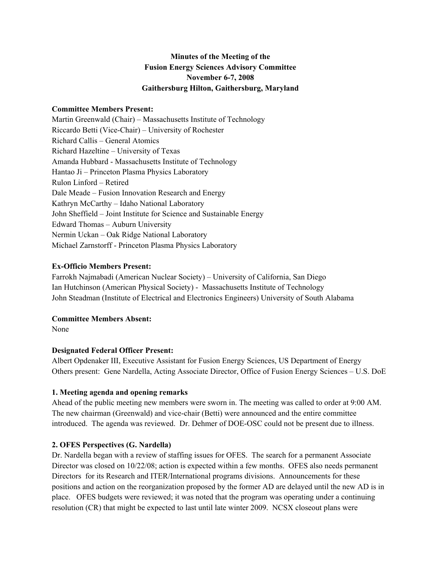# **Minutes of the Meeting of the Fusion Energy Sciences Advisory Committee November 6-7, 2008 Gaithersburg Hilton, Gaithersburg, Maryland**

#### **Committee Members Present:**

Martin Greenwald (Chair) – Massachusetts Institute of Technology Riccardo Betti (Vice-Chair) – University of Rochester Richard Callis – General Atomics Richard Hazeltine – University of Texas Amanda Hubbard - Massachusetts Institute of Technology Hantao Ji – Princeton Plasma Physics Laboratory Rulon Linford – Retired Dale Meade – Fusion Innovation Research and Energy Kathryn McCarthy – Idaho National Laboratory John Sheffield – Joint Institute for Science and Sustainable Energy Edward Thomas – Auburn University Nermin Uckan – Oak Ridge National Laboratory Michael Zarnstorff - Princeton Plasma Physics Laboratory

## **Ex-Officio Members Present:**

Farrokh Najmabadi (American Nuclear Society) – University of California, San Diego Ian Hutchinson (American Physical Society) - Massachusetts Institute of Technology John Steadman (Institute of Electrical and Electronics Engineers) University of South Alabama

### **Committee Members Absent:**

None

# **Designated Federal Officer Present:**

Albert Opdenaker III, Executive Assistant for Fusion Energy Sciences, US Department of Energy Others present: Gene Nardella, Acting Associate Director, Office of Fusion Energy Sciences – U.S. DoE

# **1. Meeting agenda and opening remarks**

Ahead of the public meeting new members were sworn in. The meeting was called to order at 9:00 AM. The new chairman (Greenwald) and vice-chair (Betti) were announced and the entire committee introduced. The agenda was reviewed. Dr. Dehmer of DOE-OSC could not be present due to illness.

# **2. OFES Perspectives (G. Nardella)**

Dr. Nardella began with a review of staffing issues for OFES. The search for a permanent Associate Director was closed on 10/22/08; action is expected within a few months. OFES also needs permanent Directors for its Research and ITER/International programs divisions. Announcements for these positions and action on the reorganization proposed by the former AD are delayed until the new AD is in place. OFES budgets were reviewed; it was noted that the program was operating under a continuing resolution (CR) that might be expected to last until late winter 2009. NCSX closeout plans were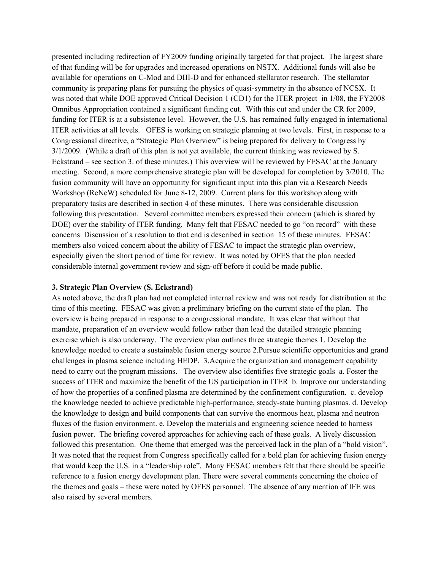presented including redirection of FY2009 funding originally targeted for that project. The largest share of that funding will be for upgrades and increased operations on NSTX. Additional funds will also be available for operations on C-Mod and DIII-D and for enhanced stellarator research. The stellarator community is preparing plans for pursuing the physics of quasi-symmetry in the absence of NCSX. It was noted that while DOE approved Critical Decision 1 (CD1) for the ITER project in 1/08, the FY2008 Omnibus Appropriation contained a significant funding cut. With this cut and under the CR for 2009, funding for ITER is at a subsistence level. However, the U.S. has remained fully engaged in international ITER activities at all levels. OFES is working on strategic planning at two levels. First, in response to a Congressional directive, a "Strategic Plan Overview" is being prepared for delivery to Congress by 3/1/2009. (While a draft of this plan is not yet available, the current thinking was reviewed by S. Eckstrand – see section 3. of these minutes.) This overview will be reviewed by FESAC at the January meeting. Second, a more comprehensive strategic plan will be developed for completion by 3/2010. The fusion community will have an opportunity for significant input into this plan via a Research Needs Workshop (ReNeW) scheduled for June 8-12, 2009. Current plans for this workshop along with preparatory tasks are described in section 4 of these minutes. There was considerable discussion following this presentation. Several committee members expressed their concern (which is shared by DOE) over the stability of ITER funding. Many felt that FESAC needed to go "on record" with these concerns Discussion of a resolution to that end is described in section 15 of these minutes. FESAC members also voiced concern about the ability of FESAC to impact the strategic plan overview, especially given the short period of time for review. It was noted by OFES that the plan needed considerable internal government review and sign-off before it could be made public.

#### **3. Strategic Plan Overview (S. Eckstrand)**

As noted above, the draft plan had not completed internal review and was not ready for distribution at the time of this meeting. FESAC was given a preliminary briefing on the current state of the plan. The overview is being prepared in response to a congressional mandate. It was clear that without that mandate, preparation of an overview would follow rather than lead the detailed strategic planning exercise which is also underway. The overview plan outlines three strategic themes 1. Develop the knowledge needed to create a sustainable fusion energy source 2.Pursue scientific opportunities and grand challenges in plasma science including HEDP. 3.Acquire the organization and management capability need to carry out the program missions. The overview also identifies five strategic goals a. Foster the success of ITER and maximize the benefit of the US participation in ITER b. Improve our understanding of how the properties of a confined plasma are determined by the confinement configuration. c. develop the knowledge needed to achieve predictable high-performance, steady-state burning plasmas. d. Develop the knowledge to design and build components that can survive the enormous heat, plasma and neutron fluxes of the fusion environment. e. Develop the materials and engineering science needed to harness fusion power. The briefing covered approaches for achieving each of these goals. A lively discussion followed this presentation. One theme that emerged was the perceived lack in the plan of a "bold vision". It was noted that the request from Congress specifically called for a bold plan for achieving fusion energy that would keep the U.S. in a "leadership role". Many FESAC members felt that there should be specific reference to a fusion energy development plan. There were several comments concerning the choice of the themes and goals – these were noted by OFES personnel. The absence of any mention of IFE was also raised by several members.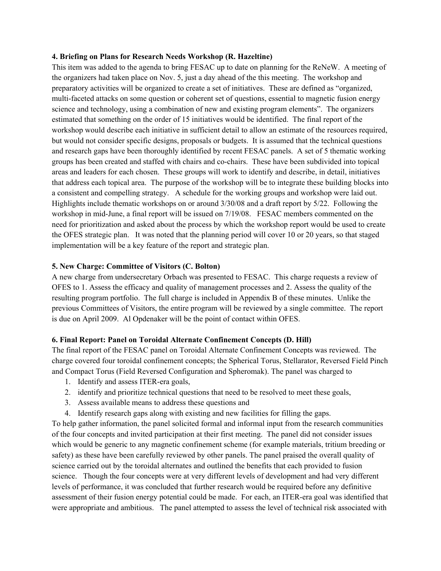#### **4. Briefing on Plans for Research Needs Workshop (R. Hazeltine)**

This item was added to the agenda to bring FESAC up to date on planning for the ReNeW. A meeting of the organizers had taken place on Nov. 5, just a day ahead of the this meeting. The workshop and preparatory activities will be organized to create a set of initiatives. These are defined as "organized, multi-faceted attacks on some question or coherent set of questions, essential to magnetic fusion energy science and technology, using a combination of new and existing program elements". The organizers estimated that something on the order of 15 initiatives would be identified. The final report of the workshop would describe each initiative in sufficient detail to allow an estimate of the resources required, but would not consider specific designs, proposals or budgets. It is assumed that the technical questions and research gaps have been thoroughly identified by recent FESAC panels. A set of 5 thematic working groups has been created and staffed with chairs and co-chairs. These have been subdivided into topical areas and leaders for each chosen. These groups will work to identify and describe, in detail, initiatives that address each topical area. The purpose of the workshop will be to integrate these building blocks into a consistent and compelling strategy. A schedule for the working groups and workshop were laid out. Highlights include thematic workshops on or around 3/30/08 and a draft report by 5/22. Following the workshop in mid-June, a final report will be issued on 7/19/08. FESAC members commented on the need for prioritization and asked about the process by which the workshop report would be used to create the OFES strategic plan. It was noted that the planning period will cover 10 or 20 years, so that staged implementation will be a key feature of the report and strategic plan.

### **5. New Charge: Committee of Visitors (C. Bolton)**

A new charge from undersecretary Orbach was presented to FESAC. This charge requests a review of OFES to 1. Assess the efficacy and quality of management processes and 2. Assess the quality of the resulting program portfolio. The full charge is included in Appendix B of these minutes. Unlike the previous Committees of Visitors, the entire program will be reviewed by a single committee. The report is due on April 2009. Al Opdenaker will be the point of contact within OFES.

#### **6. Final Report: Panel on Toroidal Alternate Confinement Concepts (D. Hill)**

The final report of the FESAC panel on Toroidal Alternate Confinement Concepts was reviewed. The charge covered four toroidal confinement concepts; the Spherical Torus, Stellarator, Reversed Field Pinch and Compact Torus (Field Reversed Configuration and Spheromak). The panel was charged to

- 1. Identify and assess ITER-era goals,
- 2. identify and prioritize technical questions that need to be resolved to meet these goals,
- 3. Assess available means to address these questions and
- 4. Identify research gaps along with existing and new facilities for filling the gaps.

To help gather information, the panel solicited formal and informal input from the research communities of the four concepts and invited participation at their first meeting. The panel did not consider issues which would be generic to any magnetic confinement scheme (for example materials, tritium breeding or safety) as these have been carefully reviewed by other panels. The panel praised the overall quality of science carried out by the toroidal alternates and outlined the benefits that each provided to fusion science. Though the four concepts were at very different levels of development and had very different levels of performance, it was concluded that further research would be required before any definitive assessment of their fusion energy potential could be made. For each, an ITER-era goal was identified that were appropriate and ambitious. The panel attempted to assess the level of technical risk associated with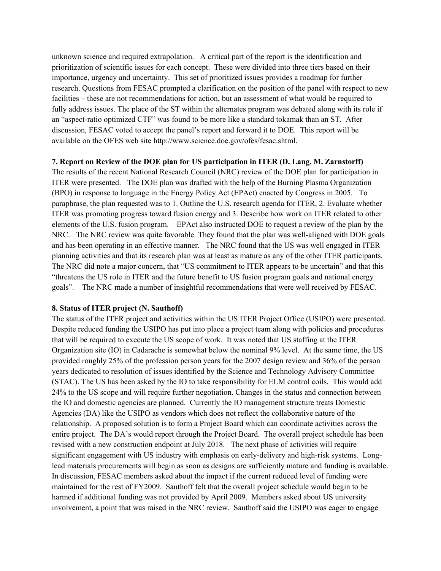unknown science and required extrapolation. A critical part of the report is the identification and prioritization of scientific issues for each concept. These were divided into three tiers based on their importance, urgency and uncertainty. This set of prioritized issues provides a roadmap for further research. Questions from FESAC prompted a clarification on the position of the panel with respect to new facilities – these are not recommendations for action, but an assessment of what would be required to fully address issues. The place of the ST within the alternates program was debated along with its role if an "aspect-ratio optimized CTF" was found to be more like a standard tokamak than an ST. After discussion, FESAC voted to accept the panel's report and forward it to DOE. This report will be available on the OFES web site http://www.science.doe.gov/ofes/fesac.shtml.

#### **7. Report on Review of the DOE plan for US participation in ITER (D. Lang, M. Zarnstorff)**

The results of the recent National Research Council (NRC) review of the DOE plan for participation in ITER were presented. The DOE plan was drafted with the help of the Burning Plasma Organization (BPO) in response to language in the Energy Policy Act (EPAct) enacted by Congress in 2005. To paraphrase, the plan requested was to 1. Outline the U.S. research agenda for ITER, 2. Evaluate whether ITER was promoting progress toward fusion energy and 3. Describe how work on ITER related to other elements of the U.S. fusion program. EPAct also instructed DOE to request a review of the plan by the NRC. The NRC review was quite favorable. They found that the plan was well-aligned with DOE goals and has been operating in an effective manner. The NRC found that the US was well engaged in ITER planning activities and that its research plan was at least as mature as any of the other ITER participants. The NRC did note a major concern, that "US commitment to ITER appears to be uncertain" and that this "threatens the US role in ITER and the future benefit to US fusion program goals and national energy goals". The NRC made a number of insightful recommendations that were well received by FESAC.

#### **8. Status of ITER project (N. Sauthoff)**

The status of the ITER project and activities within the US ITER Project Office (USIPO) were presented. Despite reduced funding the USIPO has put into place a project team along with policies and procedures that will be required to execute the US scope of work. It was noted that US staffing at the ITER Organization site (IO) in Cadarache is somewhat below the nominal 9% level. At the same time, the US provided roughly 25% of the profession person years for the 2007 design review and 36% of the person years dedicated to resolution of issues identified by the Science and Technology Advisory Committee (STAC). The US has been asked by the IO to take responsibility for ELM control coils. This would add 24% to the US scope and will require further negotiation. Changes in the status and connection between the IO and domestic agencies are planned. Currently the IO management structure treats Domestic Agencies (DA) like the USIPO as vendors which does not reflect the collaborative nature of the relationship. A proposed solution is to form a Project Board which can coordinate activities across the entire project. The DA's would report through the Project Board. The overall project schedule has been revised with a new construction endpoint at July 2018. The next phase of activities will require significant engagement with US industry with emphasis on early-delivery and high-risk systems. Longlead materials procurements will begin as soon as designs are sufficiently mature and funding is available. In discussion, FESAC members asked about the impact if the current reduced level of funding were maintained for the rest of FY2009. Sauthoff felt that the overall project schedule would begin to be harmed if additional funding was not provided by April 2009. Members asked about US university involvement, a point that was raised in the NRC review. Sauthoff said the USIPO was eager to engage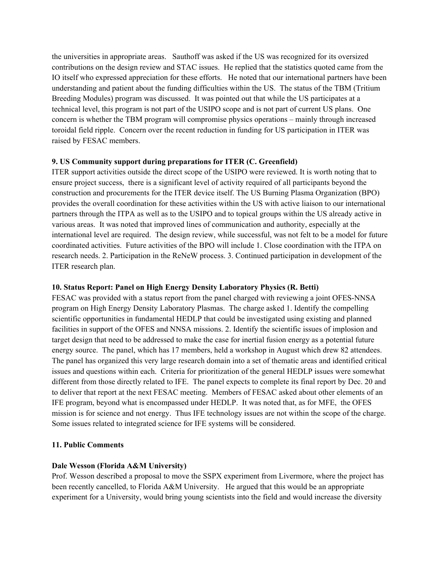the universities in appropriate areas. Sauthoff was asked if the US was recognized for its oversized contributions on the design review and STAC issues. He replied that the statistics quoted came from the IO itself who expressed appreciation for these efforts. He noted that our international partners have been understanding and patient about the funding difficulties within the US. The status of the TBM (Tritium Breeding Modules) program was discussed. It was pointed out that while the US participates at a technical level, this program is not part of the USIPO scope and is not part of current US plans. One concern is whether the TBM program will compromise physics operations – mainly through increased toroidal field ripple. Concern over the recent reduction in funding for US participation in ITER was raised by FESAC members.

## **9. US Community support during preparations for ITER (C. Greenfield)**

ITER support activities outside the direct scope of the USIPO were reviewed. It is worth noting that to ensure project success, there is a significant level of activity required of all participants beyond the construction and procurements for the ITER device itself. The US Burning Plasma Organization (BPO) provides the overall coordination for these activities within the US with active liaison to our international partners through the ITPA as well as to the USIPO and to topical groups within the US already active in various areas. It was noted that improved lines of communication and authority, especially at the international level are required. The design review, while successful, was not felt to be a model for future coordinated activities. Future activities of the BPO will include 1. Close coordination with the ITPA on research needs. 2. Participation in the ReNeW process. 3. Continued participation in development of the ITER research plan.

### **10. Status Report: Panel on High Energy Density Laboratory Physics (R. Betti)**

FESAC was provided with a status report from the panel charged with reviewing a joint OFES-NNSA program on High Energy Density Laboratory Plasmas. The charge asked 1. Identify the compelling scientific opportunities in fundamental HEDLP that could be investigated using existing and planned facilities in support of the OFES and NNSA missions. 2. Identify the scientific issues of implosion and target design that need to be addressed to make the case for inertial fusion energy as a potential future energy source. The panel, which has 17 members, held a workshop in August which drew 82 attendees. The panel has organized this very large research domain into a set of thematic areas and identified critical issues and questions within each. Criteria for prioritization of the general HEDLP issues were somewhat different from those directly related to IFE. The panel expects to complete its final report by Dec. 20 and to deliver that report at the next FESAC meeting. Members of FESAC asked about other elements of an IFE program, beyond what is encompassed under HEDLP. It was noted that, as for MFE, the OFES mission is for science and not energy. Thus IFE technology issues are not within the scope of the charge. Some issues related to integrated science for IFE systems will be considered.

## **11. Public Comments**

# **Dale Wesson (Florida A&M University)**

Prof. Wesson described a proposal to move the SSPX experiment from Livermore, where the project has been recently cancelled, to Florida A&M University. He argued that this would be an appropriate experiment for a University, would bring young scientists into the field and would increase the diversity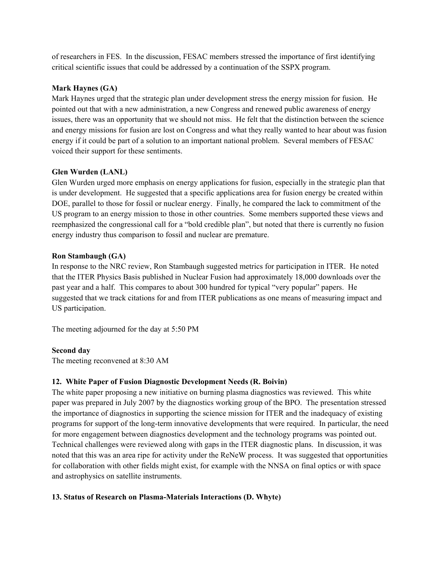of researchers in FES. In the discussion, FESAC members stressed the importance of first identifying critical scientific issues that could be addressed by a continuation of the SSPX program.

## **Mark Haynes (GA)**

Mark Haynes urged that the strategic plan under development stress the energy mission for fusion. He pointed out that with a new administration, a new Congress and renewed public awareness of energy issues, there was an opportunity that we should not miss. He felt that the distinction between the science and energy missions for fusion are lost on Congress and what they really wanted to hear about was fusion energy if it could be part of a solution to an important national problem. Several members of FESAC voiced their support for these sentiments.

## **Glen Wurden (LANL)**

Glen Wurden urged more emphasis on energy applications for fusion, especially in the strategic plan that is under development. He suggested that a specific applications area for fusion energy be created within DOE, parallel to those for fossil or nuclear energy. Finally, he compared the lack to commitment of the US program to an energy mission to those in other countries. Some members supported these views and reemphasized the congressional call for a "bold credible plan", but noted that there is currently no fusion energy industry thus comparison to fossil and nuclear are premature.

## **Ron Stambaugh (GA)**

In response to the NRC review, Ron Stambaugh suggested metrics for participation in ITER. He noted that the ITER Physics Basis published in Nuclear Fusion had approximately 18,000 downloads over the past year and a half. This compares to about 300 hundred for typical "very popular" papers. He suggested that we track citations for and from ITER publications as one means of measuring impact and US participation.

The meeting adjourned for the day at 5:50 PM

# **Second day**

The meeting reconvened at 8:30 AM

# **12. White Paper of Fusion Diagnostic Development Needs (R. Boivin)**

The white paper proposing a new initiative on burning plasma diagnostics was reviewed. This white paper was prepared in July 2007 by the diagnostics working group of the BPO. The presentation stressed the importance of diagnostics in supporting the science mission for ITER and the inadequacy of existing programs for support of the long-term innovative developments that were required. In particular, the need for more engagement between diagnostics development and the technology programs was pointed out. Technical challenges were reviewed along with gaps in the ITER diagnostic plans. In discussion, it was noted that this was an area ripe for activity under the ReNeW process. It was suggested that opportunities for collaboration with other fields might exist, for example with the NNSA on final optics or with space and astrophysics on satellite instruments.

# **13. Status of Research on Plasma-Materials Interactions (D. Whyte)**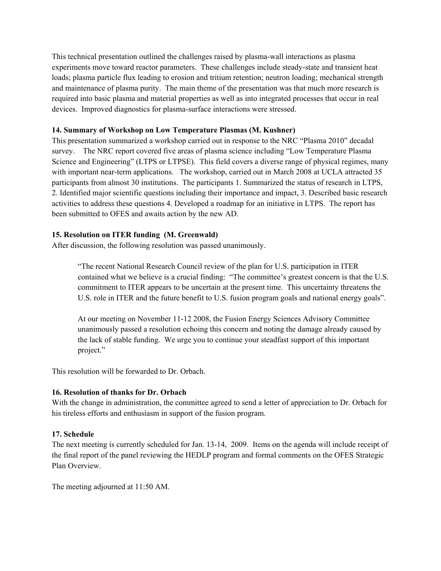This technical presentation outlined the challenges raised by plasma-wall interactions as plasma experiments move toward reactor parameters. These challenges include steady-state and transient heat loads; plasma particle flux leading to erosion and tritium retention; neutron loading; mechanical strength and maintenance of plasma purity. The main theme of the presentation was that much more research is required into basic plasma and material properties as well as into integrated processes that occur in real devices. Improved diagnostics for plasma-surface interactions were stressed.

## **14. Summary of Workshop on Low Temperature Plasmas (M. Kushner)**

This presentation summarized a workshop carried out in response to the NRC "Plasma 2010" decadal survey. The NRC report covered five areas of plasma science including "Low Temperature Plasma Science and Engineering" (LTPS or LTPSE). This field covers a diverse range of physical regimes, many with important near-term applications. The workshop, carried out in March 2008 at UCLA attracted 35 participants from almost 30 institutions. The participants 1. Summarized the status of research in LTPS, 2. Identified major scientific questions including their importance and impact, 3. Described basic research activities to address these questions 4. Developed a roadmap for an initiative in LTPS. The report has been submitted to OFES and awaits action by the new AD.

## **15. Resolution on ITER funding (M. Greenwald)**

After discussion, the following resolution was passed unanimously.

"The recent National Research Council review of the plan for U.S. participation in ITER contained what we believe is a crucial finding: "The committee's greatest concern is that the U.S. commitment to ITER appears to be uncertain at the present time. This uncertainty threatens the U.S. role in ITER and the future benefit to U.S. fusion program goals and national energy goals".

At our meeting on November 11-12 2008, the Fusion Energy Sciences Advisory Committee unanimously passed a resolution echoing this concern and noting the damage already caused by the lack of stable funding. We urge you to continue your steadfast support of this important project."

This resolution will be forwarded to Dr. Orbach.

# **16. Resolution of thanks for Dr. Orbach**

With the change in administration, the committee agreed to send a letter of appreciation to Dr. Orbach for his tireless efforts and enthusiasm in support of the fusion program.

# **17. Schedule**

The next meeting is currently scheduled for Jan. 13-14, 2009. Items on the agenda will include receipt of the final report of the panel reviewing the HEDLP program and formal comments on the OFES Strategic Plan Overview.

The meeting adjourned at 11:50 AM.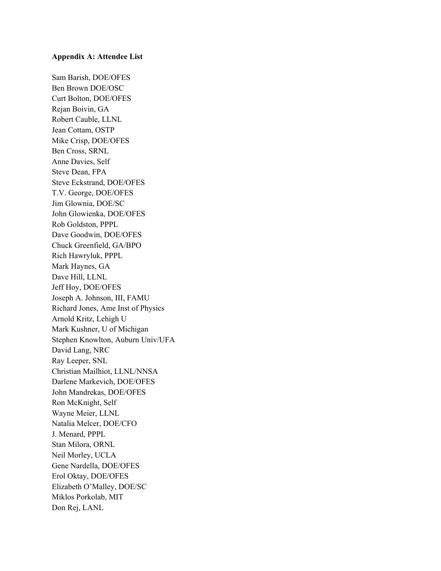#### **Appendix A: Attendee List**

Sam Barish, DOE/OFES Ben Brown DOE/OSC Curt Bolton, DOE/OFES Rejan Boivin, GA Robert Cauble, LLNL Jean Cottam, OSTP Mike Crisp, DOE/OFES Ben Cross, SRNL Anne Davies, Self Steve Dean, FPA Steve Eckstrand, DOE/OFES T.V. George, DOE/OFES Jim Glownia, DOE/SC John Glowienka, DOE/OFES Rob Goldston, PPPL Dave Goodwin, DOE/OFES Chuck Greenfield, GA/BPO Rich Hawryluk, PPPL Mark Haynes, GA Dave Hill, LLNL Jeff Hoy, DOE/OFES Joseph A. Johnson, III, FAMU Richard Jones, Ame Inst of Physics Arnold Kritz, Lehigh U Mark Kushner, U of Michigan Stephen Knowlton, Auburn Univ/UFA David Lang, NRC Ray Leeper, SNL Christian Mailhiot, LLNL/NNSA Darlene Markevich, DOE/OFES John Mandrekas, DOE/OFES Ron McKnight, Self Wayne Meier, LLNL Natalia Melcer, DOE/CFO J. Menard, PPPL Stan Milora, ORNL Neil Morley, UCLA Gene Nardella, DOE/OFES Erol Oktay, DOE/OFES Elizabeth O'Malley, DOE/SC Miklos Porkolab, MIT Don Rej, LANL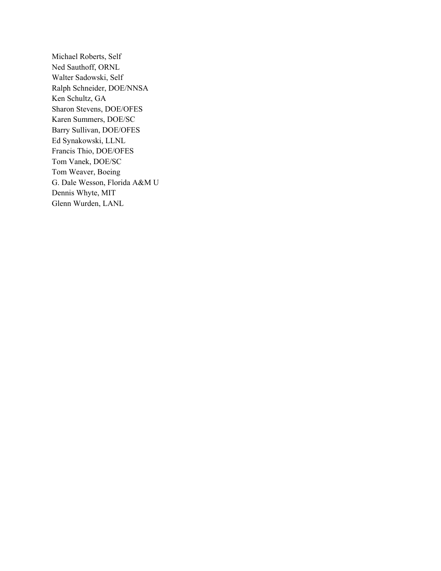Michael Roberts, Self Ned Sauthoff, ORNL Walter Sadowski, Self Ralph Schneider, DOE/NNSA Ken Schultz, GA Sharon Stevens, DOE/OFES Karen Summers, DOE/SC Barry Sullivan, DOE/OFES Ed Synakowski, LLNL Francis Thio, DOE/OFES Tom Vanek, DOE/SC Tom Weaver, Boeing G. Dale Wesson, Florida A&M U Dennis Whyte, MIT Glenn Wurden, LANL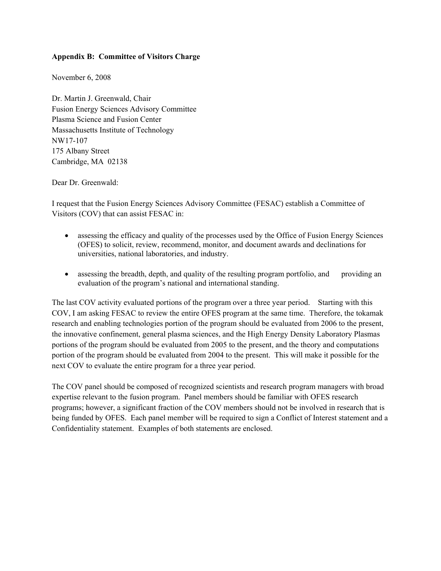## **Appendix B: Committee of Visitors Charge**

November 6, 2008

Dr. Martin J. Greenwald, Chair Fusion Energy Sciences Advisory Committee Plasma Science and Fusion Center Massachusetts Institute of Technology NW17-107 175 Albany Street Cambridge, MA 02138

Dear Dr. Greenwald:

I request that the Fusion Energy Sciences Advisory Committee (FESAC) establish a Committee of Visitors (COV) that can assist FESAC in:

- assessing the efficacy and quality of the processes used by the Office of Fusion Energy Sciences (OFES) to solicit, review, recommend, monitor, and document awards and declinations for universities, national laboratories, and industry.
- assessing the breadth, depth, and quality of the resulting program portfolio, and providing an evaluation of the program's national and international standing.

The last COV activity evaluated portions of the program over a three year period. Starting with this COV, I am asking FESAC to review the entire OFES program at the same time. Therefore, the tokamak research and enabling technologies portion of the program should be evaluated from 2006 to the present, the innovative confinement, general plasma sciences, and the High Energy Density Laboratory Plasmas portions of the program should be evaluated from 2005 to the present, and the theory and computations portion of the program should be evaluated from 2004 to the present. This will make it possible for the next COV to evaluate the entire program for a three year period.

The COV panel should be composed of recognized scientists and research program managers with broad expertise relevant to the fusion program. Panel members should be familiar with OFES research programs; however, a significant fraction of the COV members should not be involved in research that is being funded by OFES. Each panel member will be required to sign a Conflict of Interest statement and a Confidentiality statement. Examples of both statements are enclosed.